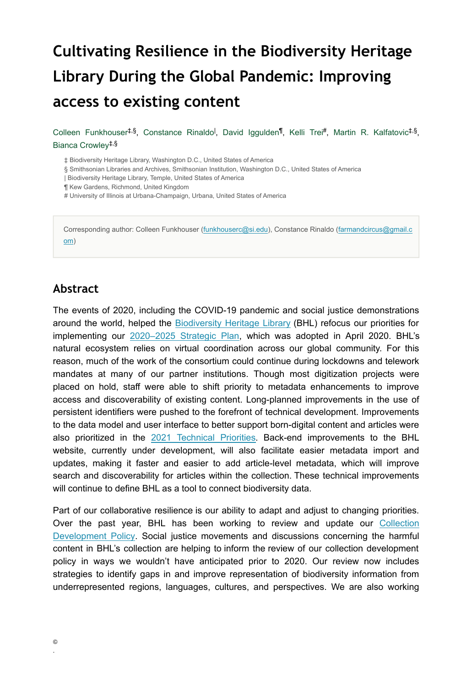# **Cultivating Resilience in the Biodiversity Heritage Library During the Global Pandemic: Improving access to existing content**

Colleen Funkhouser<sup>‡,§</sup>, Constance Rinaldo<sup>l</sup>, David Iggulden<sup>¶</sup>, Kelli Trei<sup>#</sup>, Martin R. Kalfatovic<sup>‡,§</sup>, Bianca Crowley ‡,§

‡ Biodiversity Heritage Library, Washington D.C., United States of America

§ Smithsonian Libraries and Archives, Smithsonian Institution, Washington D.C., United States of America

| Biodiversity Heritage Library, Temple, United States of America

¶ Kew Gardens, Richmond, United Kingdom

# University of Illinois at Urbana-Champaign, Urbana, United States of America

Corresponding author: Colleen Funkhouser [\(funkhouserc@si.edu](mailto:funkhouserc@si.edu)), Constance Rinaldo ([farmandcircus@gmail.c](mailto:farmandcircus@gmail.com) [om\)](mailto:farmandcircus@gmail.com)

### **Abstract**

The events of 2020, including the COVID-19 pandemic and social justice demonstrations around the world, helped the [Biodiversity Heritage Library](https://www.biodiversitylibrary.org/) (BHL) refocus our priorities for implementing our [2020–2025 Strategic Plan,](https://about.biodiversitylibrary.org/#StrategicPlan) which was adopted in April 2020. BHL's natural ecosystem relies on virtual coordination across our global community. For this reason, much of the work of the consortium could continue during lockdowns and telework mandates at many of our partner institutions. Though most digitization projects were placed on hold, staff were able to shift priority to metadata enhancements to improve access and discoverability of existing content. Long-planned improvements in the use of persistent identifiers were pushed to the forefront of technical development. Improvements to the data model and user interface to better support born-digital content and articles were also prioritized in the [2021 Technical Priorities](https://about.biodiversitylibrary.org/ufaqs/what-are-bhls-technical-development-priorities/). Back-end improvements to the BHL website, currently under development, will also facilitate easier metadata import and updates, making it faster and easier to add article-level metadata, which will improve search and discoverability for articles within the collection. These technical improvements will continue to define BHL as a tool to connect biodiversity data.

Part of our collaborative resilience is our ability to adapt and adjust to changing priorities. Over the past year, BHL has been working to review and update our [Collection](https://about.biodiversitylibrary.org/about/collection-management/collection-development-policy/) [Development Policy.](https://about.biodiversitylibrary.org/about/collection-management/collection-development-policy/) Social justice movements and discussions concerning the harmful content in BHL's collection are helping to inform the review of our collection development policy in ways we wouldn't have anticipated prior to 2020. Our review now includes strategies to identify gaps in and improve representation of biodiversity information from underrepresented regions, languages, cultures, and perspectives. We are also working